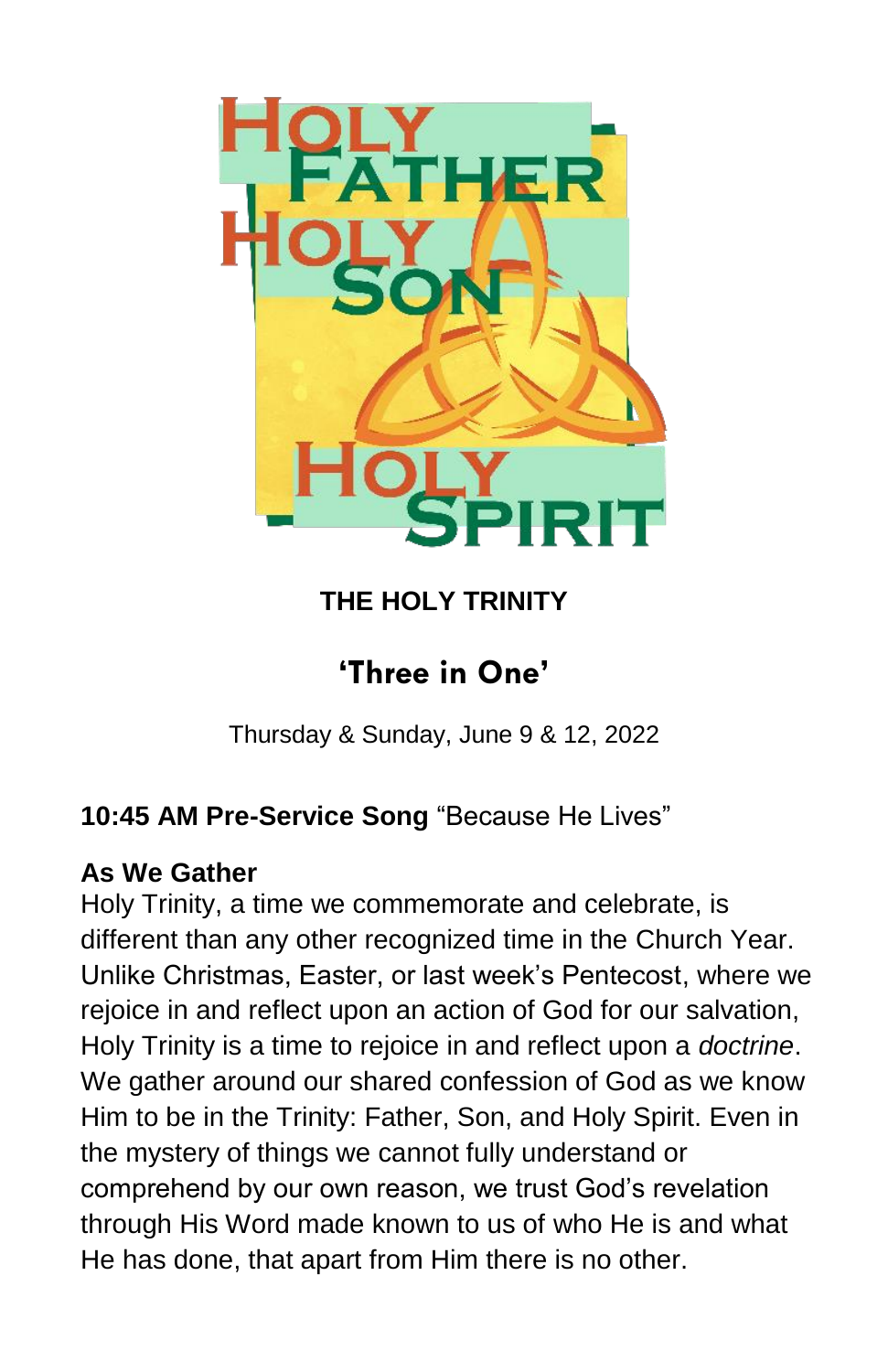

# **THE HOLY TRINITY**

# **'Three in One'**

Thursday & Sunday, June 9 & 12, 2022

# **10:45 AM Pre-Service Song** "Because He Lives"

## **As We Gather**

Holy Trinity, a time we commemorate and celebrate, is different than any other recognized time in the Church Year. Unlike Christmas, Easter, or last week's Pentecost, where we rejoice in and reflect upon an action of God for our salvation, Holy Trinity is a time to rejoice in and reflect upon a *doctrine*. We gather around our shared confession of God as we know Him to be in the Trinity: Father, Son, and Holy Spirit. Even in the mystery of things we cannot fully understand or comprehend by our own reason, we trust God's revelation through His Word made known to us of who He is and what He has done, that apart from Him there is no other.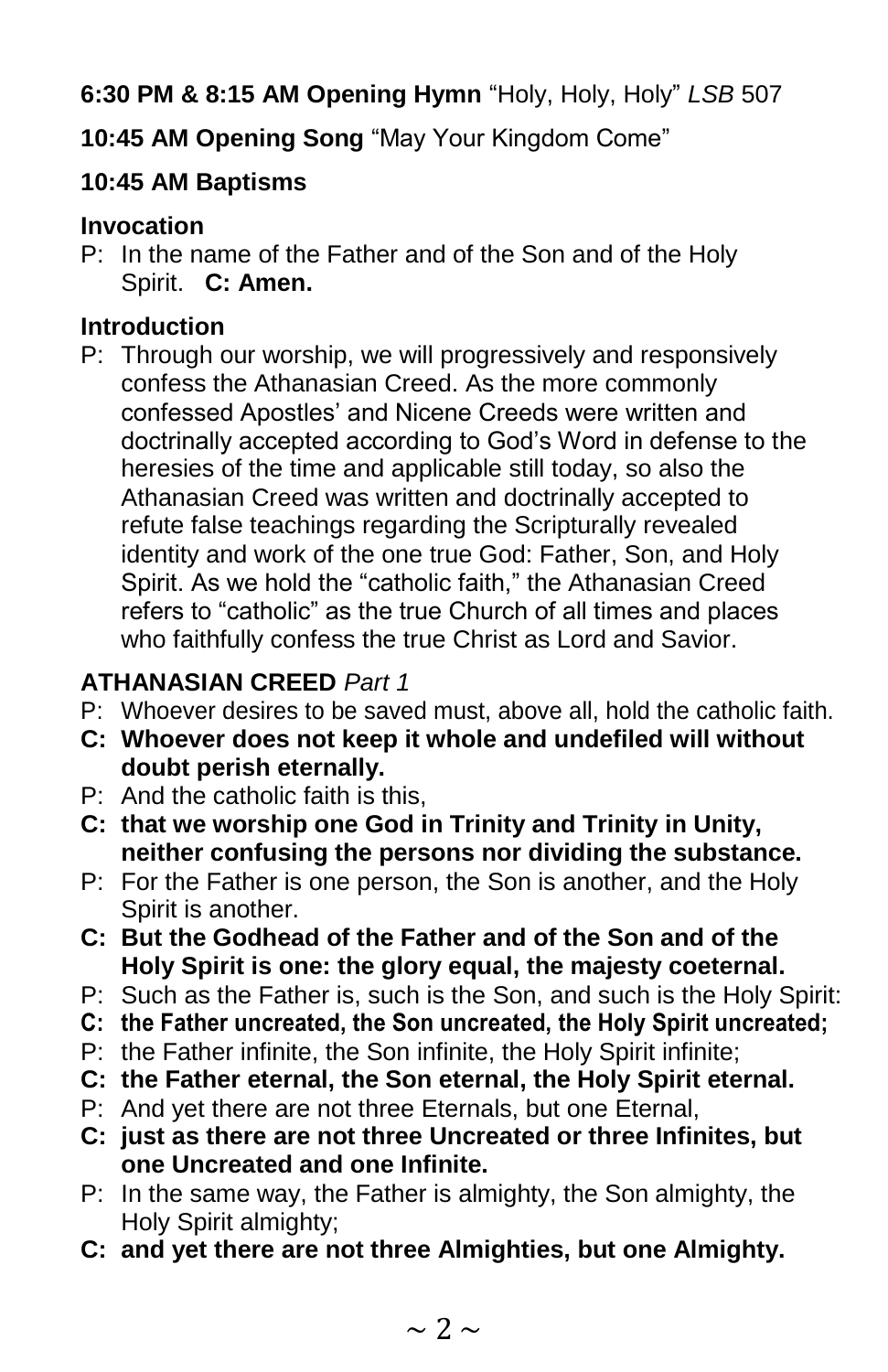**6:30 PM & 8:15 AM Opening Hymn** "Holy, Holy, Holy" *LSB* 507

**10:45 AM Opening Song** "May Your Kingdom Come"

## **10:45 AM Baptisms**

## **Invocation**

P: In the name of the Father and of the Son and of the Holy Spirit. **C: Amen.**

## **Introduction**

P: Through our worship, we will progressively and responsively confess the Athanasian Creed. As the more commonly confessed Apostles' and Nicene Creeds were written and doctrinally accepted according to God's Word in defense to the heresies of the time and applicable still today, so also the Athanasian Creed was written and doctrinally accepted to refute false teachings regarding the Scripturally revealed identity and work of the one true God: Father, Son, and Holy Spirit. As we hold the "catholic faith," the Athanasian Creed refers to "catholic" as the true Church of all times and places who faithfully confess the true Christ as Lord and Savior.

## **ATHANASIAN CREED** *Part 1*

- P: Whoever desires to be saved must, above all, hold the catholic faith.
- **C: Whoever does not keep it whole and undefiled will without doubt perish eternally.**
- P: And the catholic faith is this,
- **C: that we worship one God in Trinity and Trinity in Unity, neither confusing the persons nor dividing the substance.**
- P: For the Father is one person, the Son is another, and the Holy Spirit is another.
- **C: But the Godhead of the Father and of the Son and of the Holy Spirit is one: the glory equal, the majesty coeternal.**
- P: Such as the Father is, such is the Son, and such is the Holy Spirit:
- **C: the Father uncreated, the Son uncreated, the Holy Spirit uncreated;**
- P: the Father infinite, the Son infinite, the Holy Spirit infinite;
- **C: the Father eternal, the Son eternal, the Holy Spirit eternal.**
- P: And yet there are not three Eternals, but one Eternal,
- **C: just as there are not three Uncreated or three Infinites, but one Uncreated and one Infinite.**
- P: In the same way, the Father is almighty, the Son almighty, the Holy Spirit almighty;
- **C: and yet there are not three Almighties, but one Almighty.**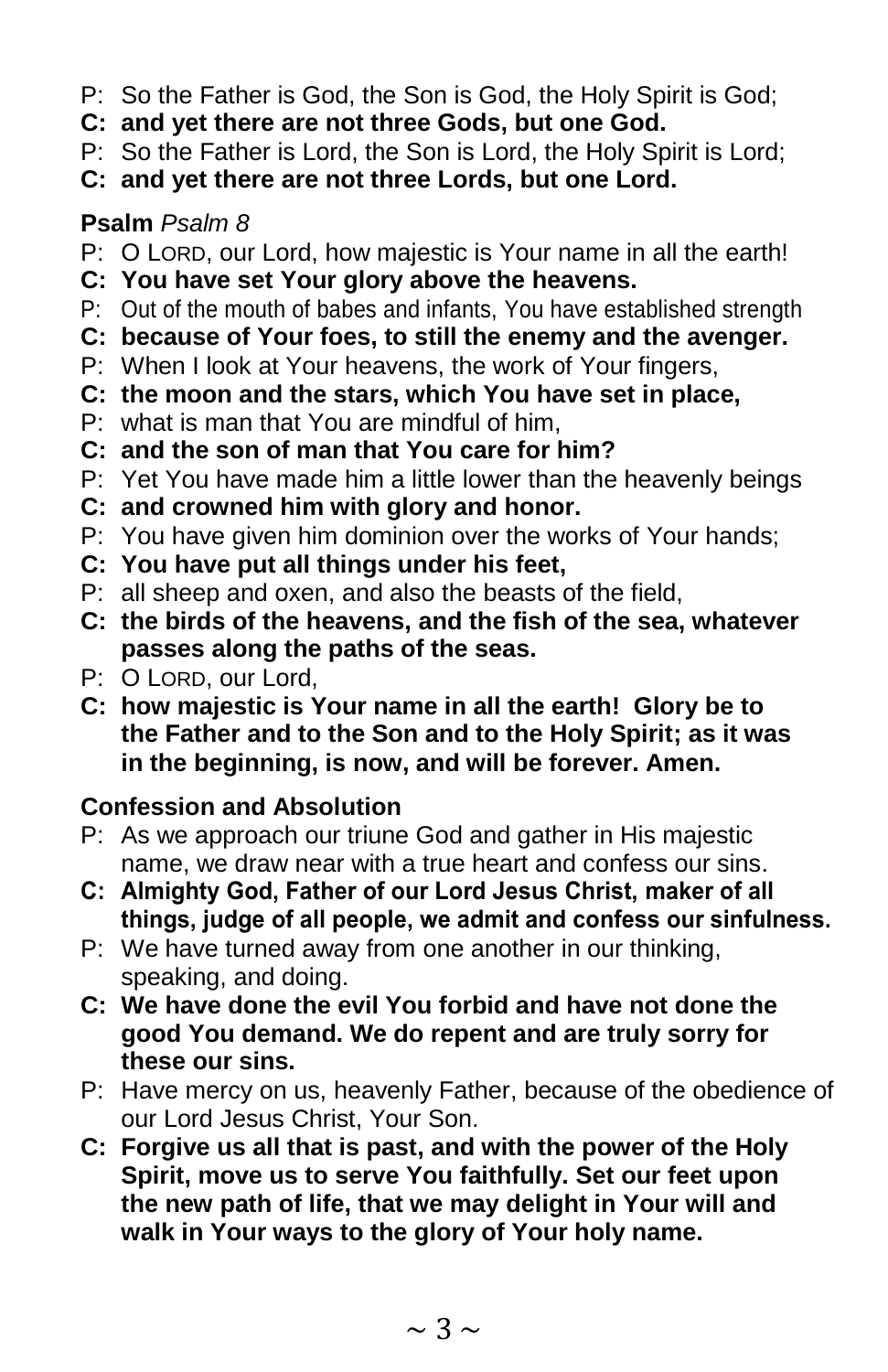- P: So the Father is God, the Son is God, the Holy Spirit is God;
- **C: and yet there are not three Gods, but one God.**
- P: So the Father is Lord, the Son is Lord, the Holy Spirit is Lord;
- **C: and yet there are not three Lords, but one Lord.**

## **Psalm** *Psalm 8*

- P: O LORD, our Lord, how majestic is Your name in all the earth!
- **C: You have set Your glory above the heavens.**
- P: Out of the mouth of babes and infants, You have established strength
- **C: because of Your foes, to still the enemy and the avenger.**
- P: When I look at Your heavens, the work of Your fingers,
- **C: the moon and the stars, which You have set in place,**
- P: what is man that You are mindful of him,
- **C: and the son of man that You care for him?**
- P: Yet You have made him a little lower than the heavenly beings
- **C: and crowned him with glory and honor.**
- P: You have given him dominion over the works of Your hands;
- **C: You have put all things under his feet,**
- P: all sheep and oxen, and also the beasts of the field,
- **C: the birds of the heavens, and the fish of the sea, whatever passes along the paths of the seas.**
- P: O LORD, our Lord,
- **C: how majestic is Your name in all the earth! Glory be to the Father and to the Son and to the Holy Spirit; as it was in the beginning, is now, and will be forever. Amen.**

## **Confession and Absolution**

- P: As we approach our triune God and gather in His majestic name, we draw near with a true heart and confess our sins.
- **C: Almighty God, Father of our Lord Jesus Christ, maker of all things, judge of all people, we admit and confess our sinfulness.**
- P: We have turned away from one another in our thinking, speaking, and doing.
- **C: We have done the evil You forbid and have not done the good You demand. We do repent and are truly sorry for these our sins.**
- P: Have mercy on us, heavenly Father, because of the obedience of our Lord Jesus Christ, Your Son.
- **C: Forgive us all that is past, and with the power of the Holy Spirit, move us to serve You faithfully. Set our feet upon the new path of life, that we may delight in Your will and walk in Your ways to the glory of Your holy name.**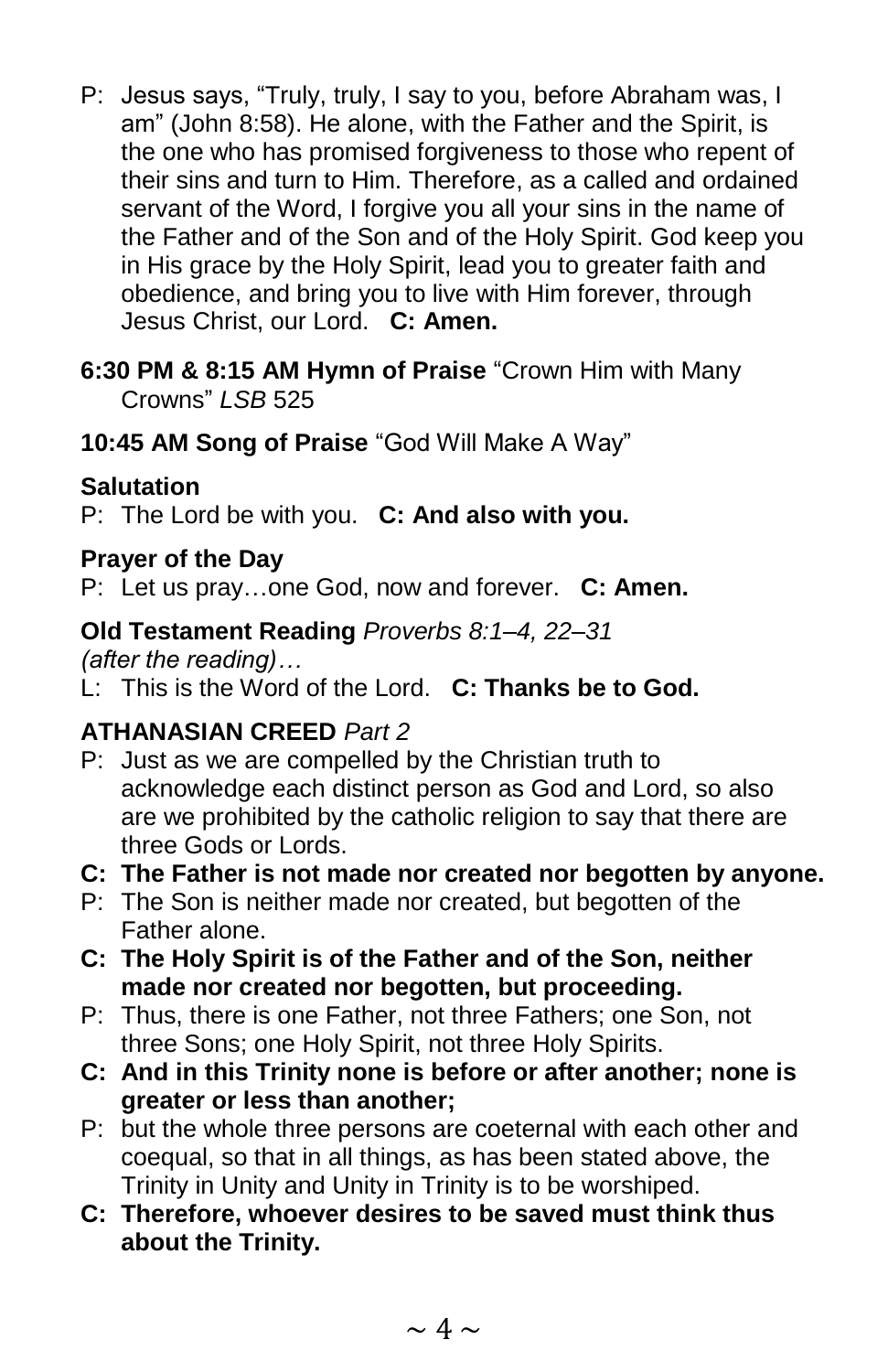- P: Jesus says, "Truly, truly, I say to you, before Abraham was, I am" (John 8:58). He alone, with the Father and the Spirit, is the one who has promised forgiveness to those who repent of their sins and turn to Him. Therefore, as a called and ordained servant of the Word, I forgive you all your sins in the name of the Father and of the Son and of the Holy Spirit. God keep you in His grace by the Holy Spirit, lead you to greater faith and obedience, and bring you to live with Him forever, through Jesus Christ, our Lord. **C: Amen.**
- **6:30 PM & 8:15 AM Hymn of Praise** "Crown Him with Many Crowns" *LSB* 525
- **10:45 AM Song of Praise** "God Will Make A Way"

## **Salutation**

P: The Lord be with you. **C: And also with you.**

### **Prayer of the Day**

P: Let us pray…one God, now and forever. **C: Amen.**

### **Old Testament Reading** *Proverbs 8:1–4, 22–31*

*(after the reading)…* 

L: This is the Word of the Lord. **C: Thanks be to God.**

## **ATHANASIAN CREED** *Part 2*

- P: Just as we are compelled by the Christian truth to acknowledge each distinct person as God and Lord, so also are we prohibited by the catholic religion to say that there are three Gods or Lords.
- **C: The Father is not made nor created nor begotten by anyone.**
- P: The Son is neither made nor created, but begotten of the Father alone.
- **C: The Holy Spirit is of the Father and of the Son, neither made nor created nor begotten, but proceeding.**
- P: Thus, there is one Father, not three Fathers; one Son, not three Sons; one Holy Spirit, not three Holy Spirits.
- **C: And in this Trinity none is before or after another; none is greater or less than another;**
- P: but the whole three persons are coeternal with each other and coequal, so that in all things, as has been stated above, the Trinity in Unity and Unity in Trinity is to be worshiped.
- **C: Therefore, whoever desires to be saved must think thus about the Trinity.**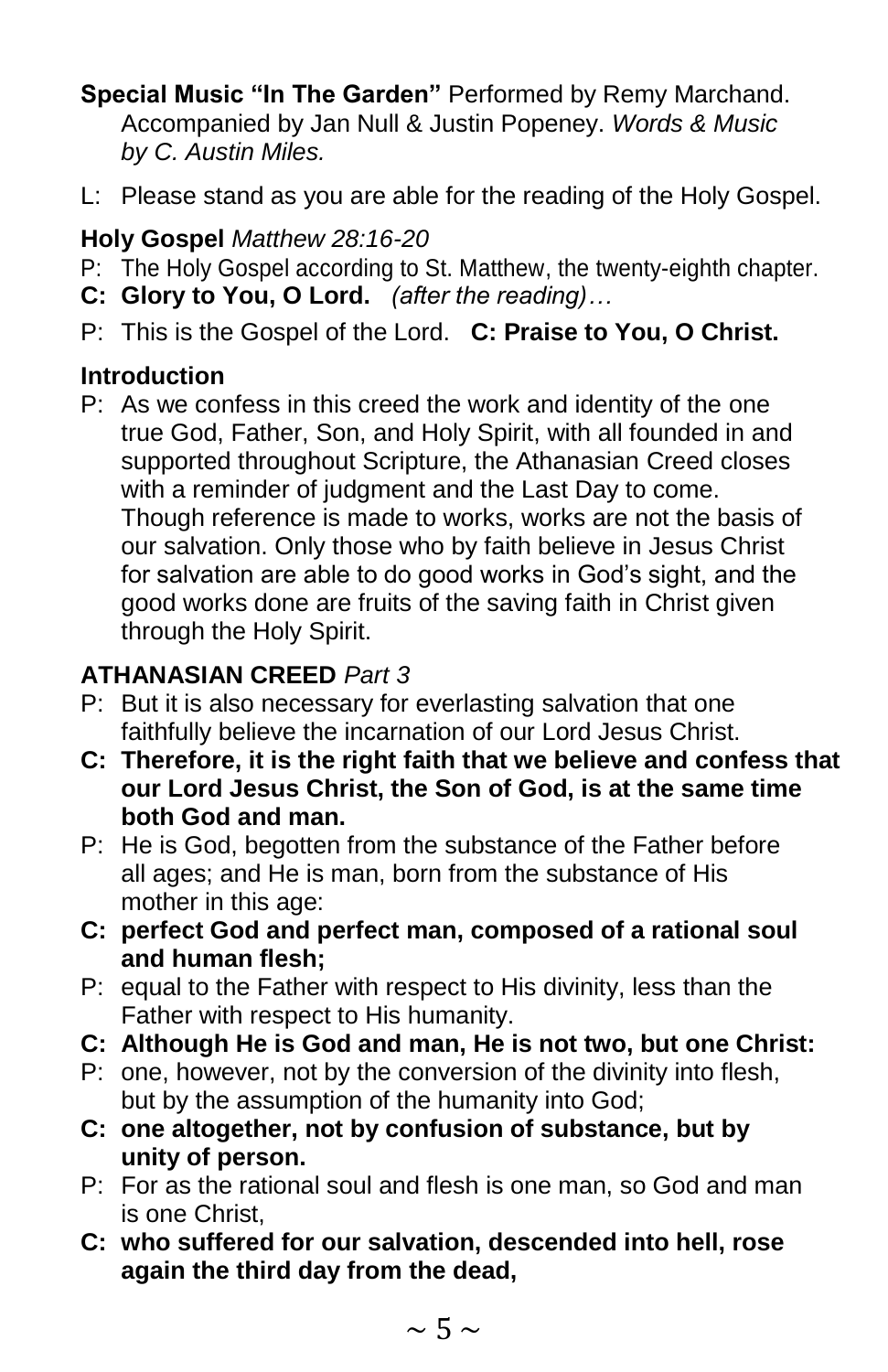**Special Music "In The Garden"** Performed by Remy Marchand. Accompanied by Jan Null & Justin Popeney. *Words & Music by C. Austin Miles.*

L: Please stand as you are able for the reading of the Holy Gospel.

## **Holy Gospel** *Matthew 28:16-20*

- P: The Holy Gospel according to St. Matthew, the twenty-eighth chapter.
- **C: Glory to You, O Lord.** *(after the reading)…*
- P: This is the Gospel of the Lord. **C: Praise to You, O Christ.**

### **Introduction**

P: As we confess in this creed the work and identity of the one true God, Father, Son, and Holy Spirit, with all founded in and supported throughout Scripture, the Athanasian Creed closes with a reminder of judgment and the Last Day to come. Though reference is made to works, works are not the basis of our salvation. Only those who by faith believe in Jesus Christ for salvation are able to do good works in God's sight, and the good works done are fruits of the saving faith in Christ given through the Holy Spirit.

## **ATHANASIAN CREED** *Part 3*

- P: But it is also necessary for everlasting salvation that one faithfully believe the incarnation of our Lord Jesus Christ.
- **C: Therefore, it is the right faith that we believe and confess that our Lord Jesus Christ, the Son of God, is at the same time both God and man.**
- P: He is God, begotten from the substance of the Father before all ages; and He is man, born from the substance of His mother in this age:
- **C: perfect God and perfect man, composed of a rational soul and human flesh;**
- P: equal to the Father with respect to His divinity, less than the Father with respect to His humanity.
- **C: Although He is God and man, He is not two, but one Christ:**
- P: one, however, not by the conversion of the divinity into flesh, but by the assumption of the humanity into God;
- **C: one altogether, not by confusion of substance, but by unity of person.**
- P: For as the rational soul and flesh is one man, so God and man is one Christ,
- **C: who suffered for our salvation, descended into hell, rose again the third day from the dead,**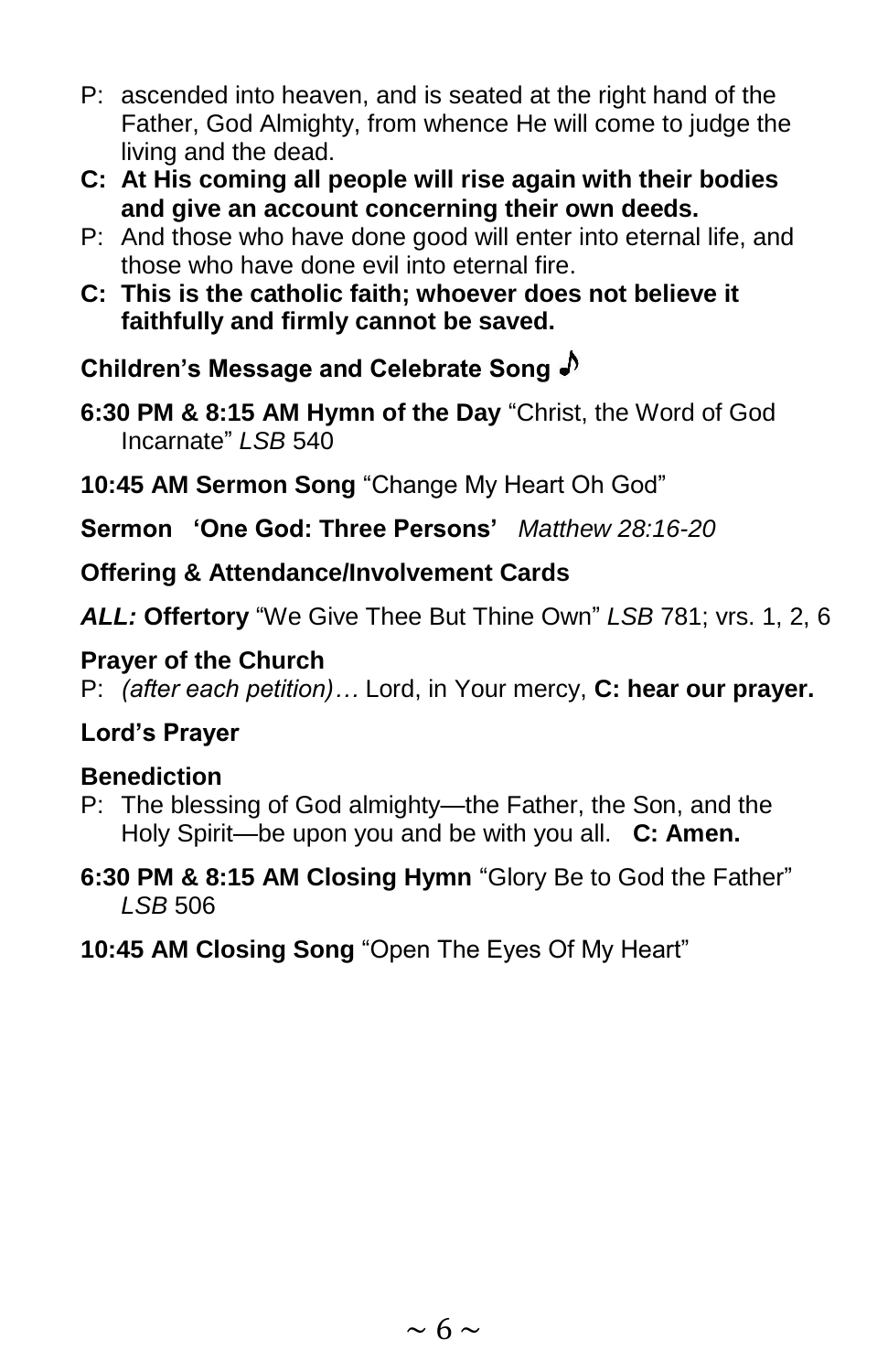- P: ascended into heaven, and is seated at the right hand of the Father, God Almighty, from whence He will come to judge the living and the dead.
- **C: At His coming all people will rise again with their bodies and give an account concerning their own deeds.**
- P: And those who have done good will enter into eternal life, and those who have done evil into eternal fire.
- **C: This is the catholic faith; whoever does not believe it faithfully and firmly cannot be saved.**

**Children's Message and Celebrate Song**

- **6:30 PM & 8:15 AM Hymn of the Day** "Christ, the Word of God Incarnate" *LSB* 540
- **10:45 AM Sermon Song** "Change My Heart Oh God"

**Sermon 'One God: Three Persons'** *Matthew 28:16-20*

**Offering & Attendance/Involvement Cards**

*ALL:* **Offertory** "We Give Thee But Thine Own" *LSB* 781; vrs. 1, 2, 6

### **Prayer of the Church**

P: *(after each petition)…* Lord, in Your mercy, **C: hear our prayer.**

## **Lord's Prayer**

### **Benediction**

- P: The blessing of God almighty—the Father, the Son, and the Holy Spirit—be upon you and be with you all. **C: Amen.**
- **6:30 PM & 8:15 AM Closing Hymn** "Glory Be to God the Father" *LSB* 506
- **10:45 AM Closing Song** "Open The Eyes Of My Heart"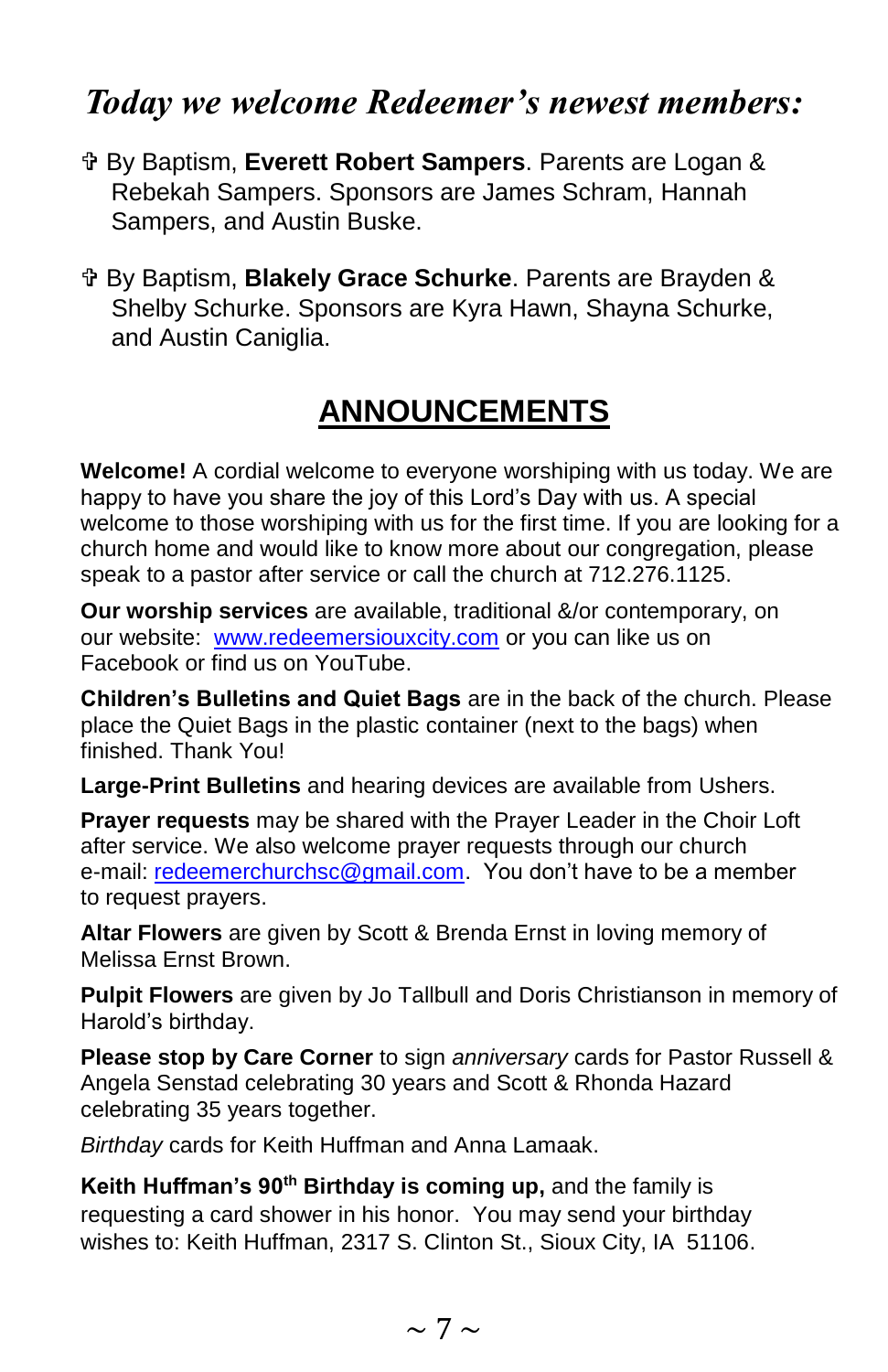# *Today we welcome Redeemer's newest members:*

- By Baptism, **Everett Robert Sampers**. Parents are Logan & Rebekah Sampers. Sponsors are James Schram, Hannah Sampers, and Austin Buske.
- By Baptism, **Blakely Grace Schurke**. Parents are Brayden & Shelby Schurke. Sponsors are Kyra Hawn, Shayna Schurke, and Austin Caniglia.

# **ANNOUNCEMENTS**

**Welcome!** A cordial welcome to everyone worshiping with us today. We are happy to have you share the joy of this Lord's Day with us. A special welcome to those worshiping with us for the first time. If you are looking for a church home and would like to know more about our congregation, please speak to a pastor after service or call the church at 712.276.1125.

**Our worship services** are available, traditional &/or contemporary, on our website: [www.redeemersiouxcity.com](http://www.redeemersiouxcity.com/) or you can like us on Facebook or find us on YouTube.

**Children's Bulletins and Quiet Bags** are in the back of the church. Please place the Quiet Bags in the plastic container (next to the bags) when finished. Thank You!

**Large-Print Bulletins** and hearing devices are available from Ushers.

**Prayer requests** may be shared with the Prayer Leader in the Choir Loft after service. We also welcome prayer requests through our church e-mail: [redeemerchurchsc@gmail.com.](mailto:redeemerchurchsc@gmail.com) You don't have to be a member to request prayers.

**Altar Flowers** are given by Scott & Brenda Ernst in loving memory of Melissa Ernst Brown.

**Pulpit Flowers** are given by Jo Tallbull and Doris Christianson in memory of Harold's birthday.

**Please stop by Care Corner** to sign *anniversary* cards for Pastor Russell & Angela Senstad celebrating 30 years and Scott & Rhonda Hazard celebrating 35 years together.

*Birthday* cards for Keith Huffman and Anna Lamaak.

**Keith Huffman's 90th Birthday is coming up,** and the family is requesting a card shower in his honor. You may send your birthday wishes to: Keith Huffman, 2317 S. Clinton St., Sioux City, IA 51106.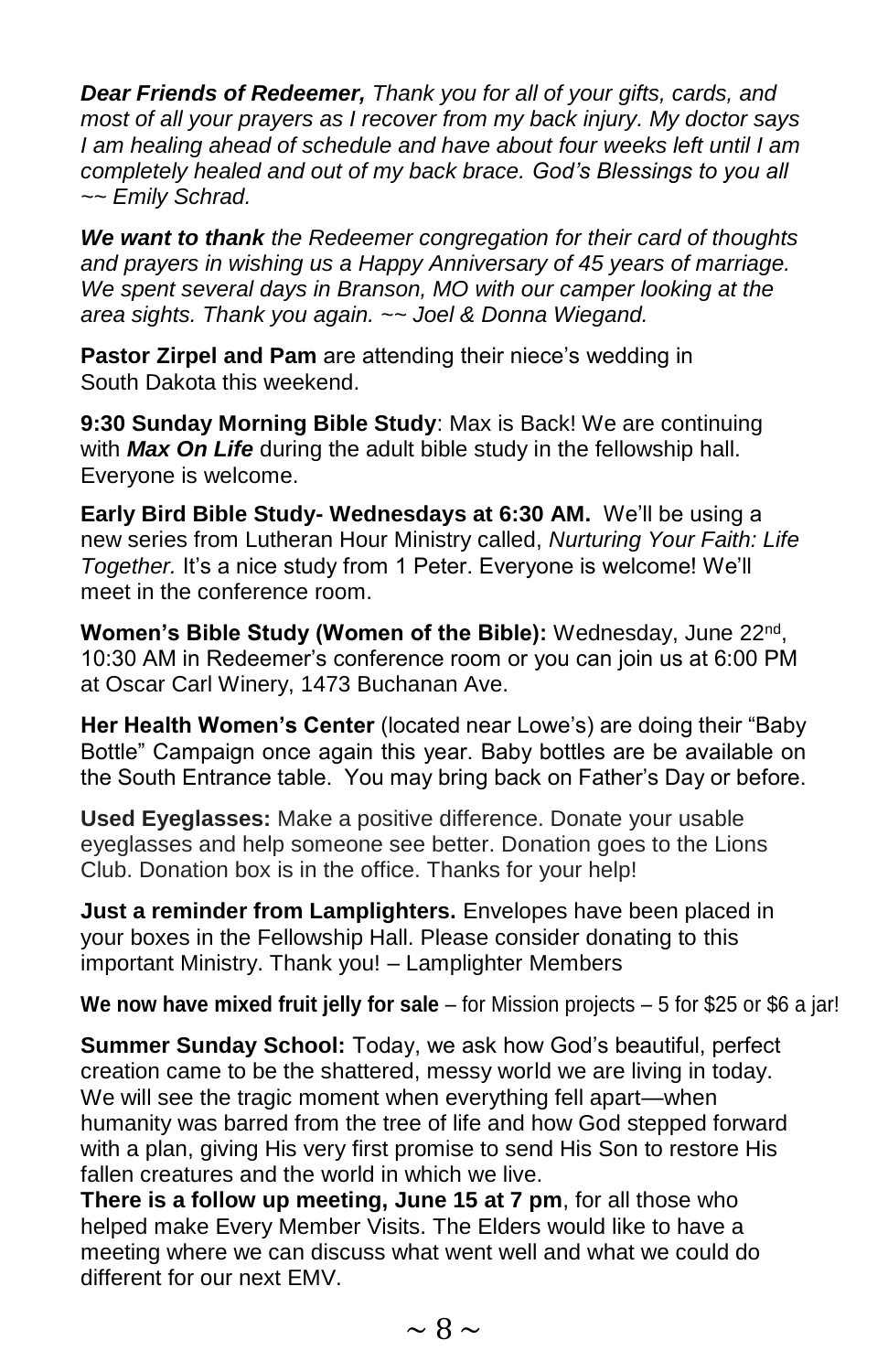*Dear Friends of Redeemer, Thank you for all of your gifts, cards, and most of all your prayers as I recover from my back injury. My doctor says I am healing ahead of schedule and have about four weeks left until I am completely healed and out of my back brace. God's Blessings to you all ~~ Emily Schrad.*

*We want to thank the Redeemer congregation for their card of thoughts and prayers in wishing us a Happy Anniversary of 45 years of marriage. We spent several days in Branson, MO with our camper looking at the area sights. Thank you again. ~~ Joel & Donna Wiegand.*

**Pastor Zirpel and Pam** are attending their niece's wedding in South Dakota this weekend.

**9:30 Sunday Morning Bible Study**: Max is Back! We are continuing with *Max On Life* during the adult bible study in the fellowship hall. Everyone is welcome.

**Early Bird Bible Study- Wednesdays at 6:30 AM.** We'll be using a new series from Lutheran Hour Ministry called, *Nurturing Your Faith: Life Together.* It's a nice study from 1 Peter. Everyone is welcome! We'll meet in the conference room.

Women's Bible Study (Women of the Bible): Wednesday, June 22<sup>nd</sup>, 10:30 AM in Redeemer's conference room or you can join us at 6:00 PM at Oscar Carl Winery, 1473 Buchanan Ave.

**Her Health Women's Center** (located near Lowe's) are doing their "Baby Bottle" Campaign once again this year. Baby bottles are be available on the South Entrance table. You may bring back on Father's Day or before.

**Used Eyeglasses:** Make a positive difference. Donate your usable eyeglasses and help someone see better. Donation goes to the Lions Club. Donation box is in the office. Thanks for your help!

**Just a reminder from Lamplighters.** Envelopes have been placed in your boxes in the Fellowship Hall. Please consider donating to this important Ministry. Thank you! – Lamplighter Members

**We now have mixed fruit jelly for sale** – for Mission projects – 5 for \$25 or \$6 a jar!

**Summer Sunday School:** Today, we ask how God's beautiful, perfect creation came to be the shattered, messy world we are living in today. We will see the tragic moment when everything fell apart—when humanity was barred from the tree of life and how God stepped forward with a plan, giving His very first promise to send His Son to restore His fallen creatures and the world in which we live.

**There is a follow up meeting, June 15 at 7 pm**, for all those who helped make Every Member Visits. The Elders would like to have a meeting where we can discuss what went well and what we could do different for our next EMV.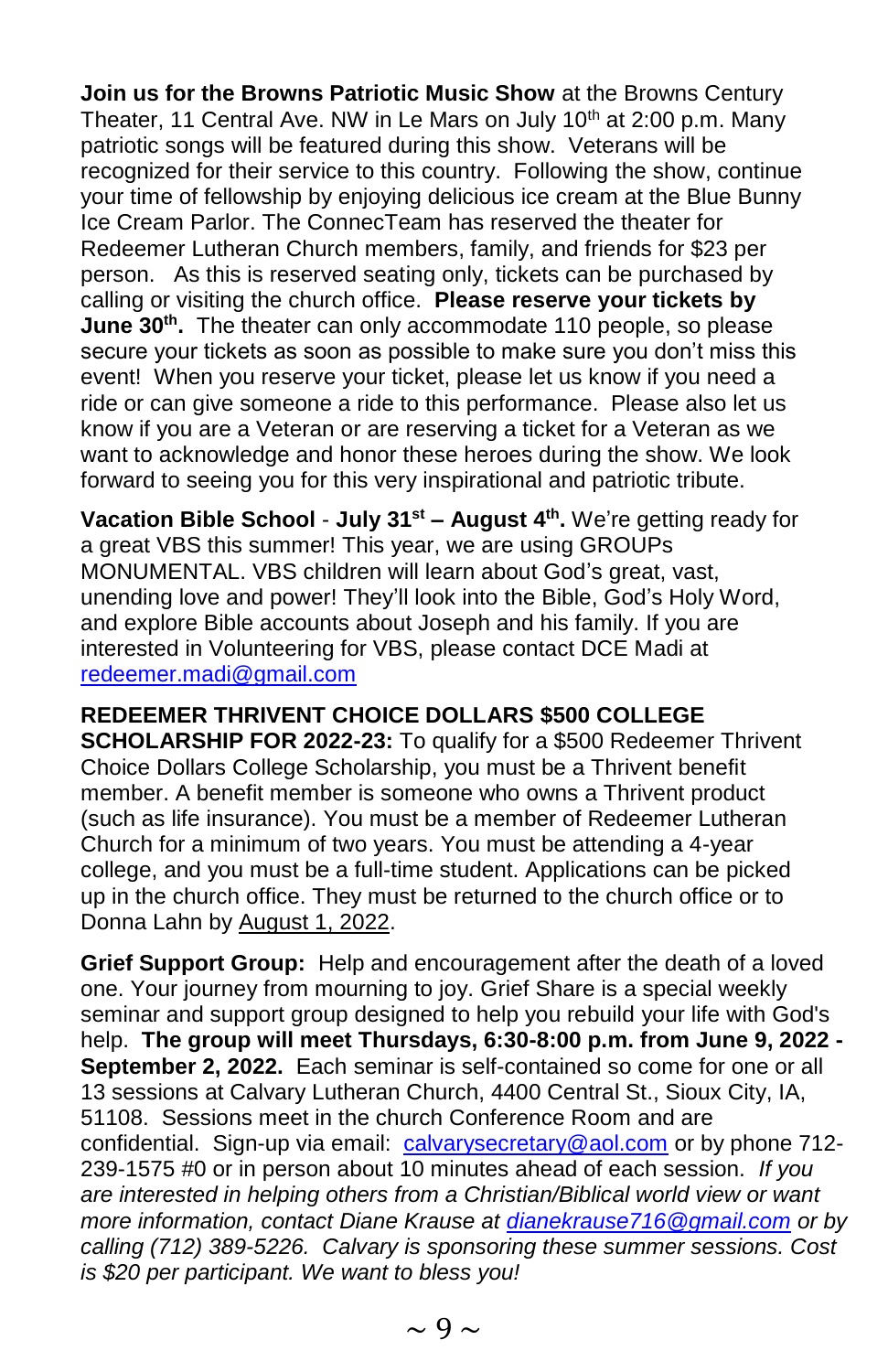**Join us for the Browns Patriotic Music Show** at the Browns Century Theater, 11 Central Ave. NW in Le Mars on July 10<sup>th</sup> at 2:00 p.m. Many patriotic songs will be featured during this show. Veterans will be recognized for their service to this country. Following the show, continue your time of fellowship by enjoying delicious ice cream at the Blue Bunny Ice Cream Parlor. The ConnecTeam has reserved the theater for Redeemer Lutheran Church members, family, and friends for \$23 per person. As this is reserved seating only, tickets can be purchased by calling or visiting the church office. **Please reserve your tickets by June 30th .** The theater can only accommodate 110 people, so please secure your tickets as soon as possible to make sure you don't miss this event! When you reserve your ticket, please let us know if you need a ride or can give someone a ride to this performance. Please also let us know if you are a Veteran or are reserving a ticket for a Veteran as we want to acknowledge and honor these heroes during the show. We look forward to seeing you for this very inspirational and patriotic tribute.

**Vacation Bible School** - **July 31st – August 4th .** We're getting ready for a great VBS this summer! This year, we are using GROUPs MONUMENTAL. VBS children will learn about God's great, vast, unending love and power! They'll look into the Bible, God's Holy Word, and explore Bible accounts about Joseph and his family. If you are interested in Volunteering for VBS, please contact DCE Madi at [redeemer.madi@gmail.com](mailto:redeemer.madi@gmail.com)

**REDEEMER THRIVENT CHOICE DOLLARS \$500 COLLEGE SCHOLARSHIP FOR 2022-23:** To qualify for a \$500 Redeemer Thrivent Choice Dollars College Scholarship, you must be a Thrivent benefit member. A benefit member is someone who owns a Thrivent product (such as life insurance). You must be a member of Redeemer Lutheran Church for a minimum of two years. You must be attending a 4-year college, and you must be a full-time student. Applications can be picked up in the church office. They must be returned to the church office or to Donna Lahn by August 1, 2022.

**Grief Support Group:** Help and encouragement after the death of a loved one. Your journey from mourning to joy. Grief Share is a special weekly seminar and support group designed to help you rebuild your life with God's help. **The group will meet Thursdays, 6:30-8:00 p.m. from June 9, 2022 - September 2, 2022.** Each seminar is self-contained so come for one or all 13 sessions at Calvary Lutheran Church, 4400 Central St., Sioux City, IA, 51108. Sessions meet in the church Conference Room and are confidential. Sign-up via email: [calvarysecretary@aol.com](mailto:calvarysecretary@aol.com) or by phone 712-239-1575 #0 or in person about 10 minutes ahead of each session. *If you are interested in helping others from a Christian/Biblical world view or want more information, contact Diane Krause at [dianekrause716@gmail.com](mailto:dianekrause716@gmail.com) or by calling (712) 389-5226. Calvary is sponsoring these summer sessions. Cost is \$20 per participant. We want to bless you!*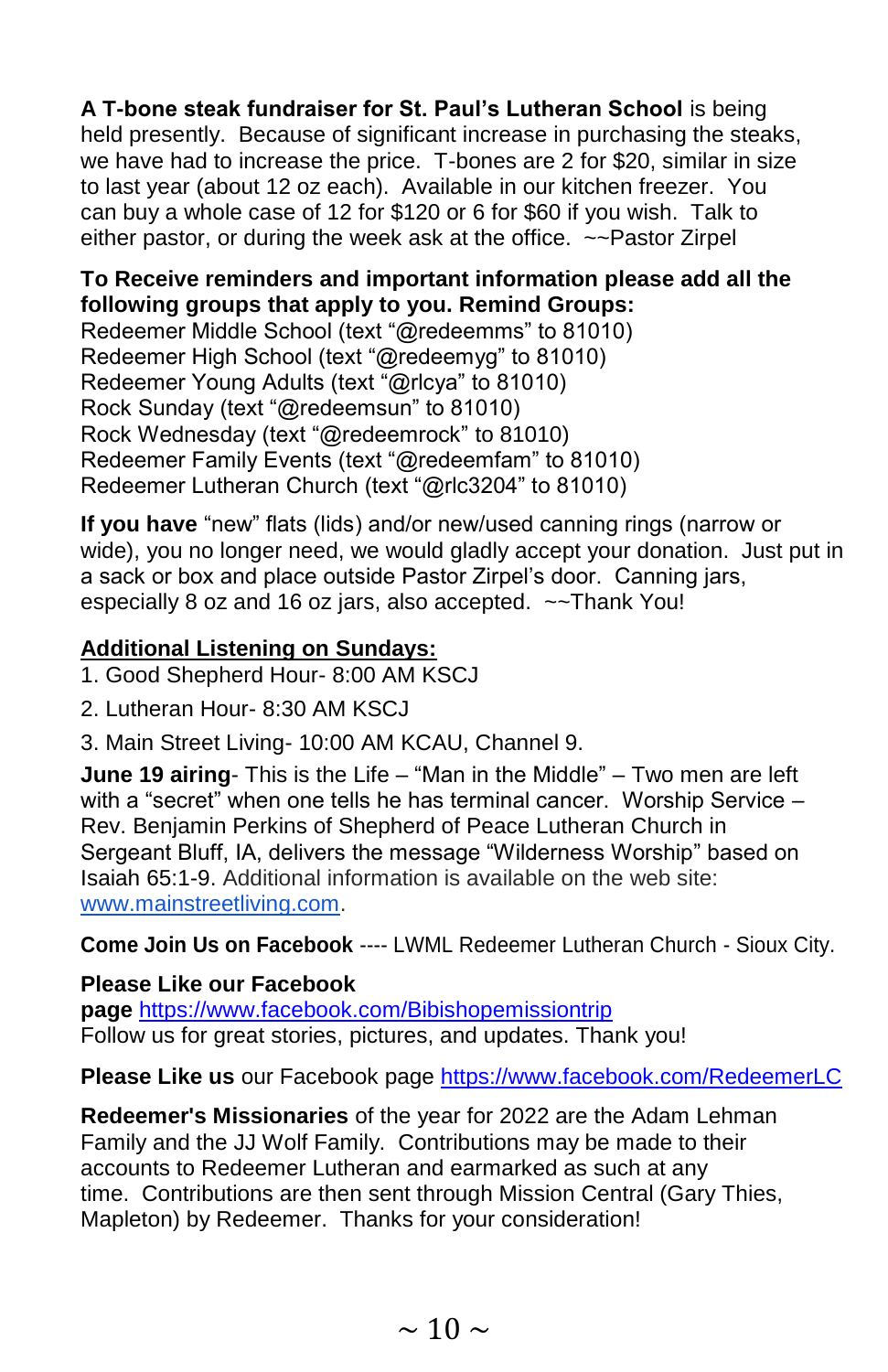**A T-bone steak fundraiser for St. Paul's Lutheran School** is being held presently. Because of significant increase in purchasing the steaks, we have had to increase the price. T-bones are 2 for \$20, similar in size to last year (about 12 oz each). Available in our kitchen freezer. You can buy a whole case of 12 for \$120 or 6 for \$60 if you wish. Talk to either pastor, or during the week ask at the office. ~~Pastor Zirpel

#### **To Receive reminders and important information please add all the following groups that apply to you. Remind Groups:**

Redeemer Middle School (text "@redeemms" to 81010) Redeemer High School (text "@redeemyg" to 81010) Redeemer Young Adults (text "@rlcya" to 81010) Rock Sunday (text "@redeemsun" to 81010) Rock Wednesday (text "@redeemrock" to 81010) Redeemer Family Events (text "@redeemfam" to 81010) Redeemer Lutheran Church (text "@rlc3204" to 81010)

**If you have** "new" flats (lids) and/or new/used canning rings (narrow or wide), you no longer need, we would gladly accept your donation. Just put in a sack or box and place outside Pastor Zirpel's door. Canning jars, especially 8 oz and 16 oz jars, also accepted. ~~Thank You!

#### **Additional Listening on Sundays:**

1. Good Shepherd Hour- 8:00 AM KSCJ

2. Lutheran Hour- 8:30 AM KSCJ

3. Main Street Living- 10:00 AM KCAU, Channel 9.

**June 19 airing**- This is the Life – "Man in the Middle" – Two men are left with a "secret" when one tells he has terminal cancer. Worship Service – Rev. Benjamin Perkins of Shepherd of Peace Lutheran Church in Sergeant Bluff, IA, delivers the message "Wilderness Worship" based on Isaiah 65:1-9. Additional information is available on the web site[:](http://www.mainstreetliving.com/) [www.mainstreetliving.com.](http://www.mainstreetliving.com/)

**Come Join Us on Facebook** ---- LWML Redeemer Lutheran Church - Sioux City.

#### **Please Like our Facebook**

**page** [https://www.facebook.com/Bibishopemissiontrip](https://www.facebook.com/Bibishopemissiontrip/) Follow us for great stories, pictures, and updates. Thank you!

**Please Like us** our Facebook page [https://www.facebook.com/RedeemerLC](https://www.facebook.com/RedeemerLC/) 

**Redeemer's Missionaries** of the year for 2022 are the Adam Lehman Family and the JJ Wolf Family. Contributions may be made to their accounts to Redeemer Lutheran and earmarked as such at any time. Contributions are then sent through Mission Central (Gary Thies, Mapleton) by Redeemer. Thanks for your consideration!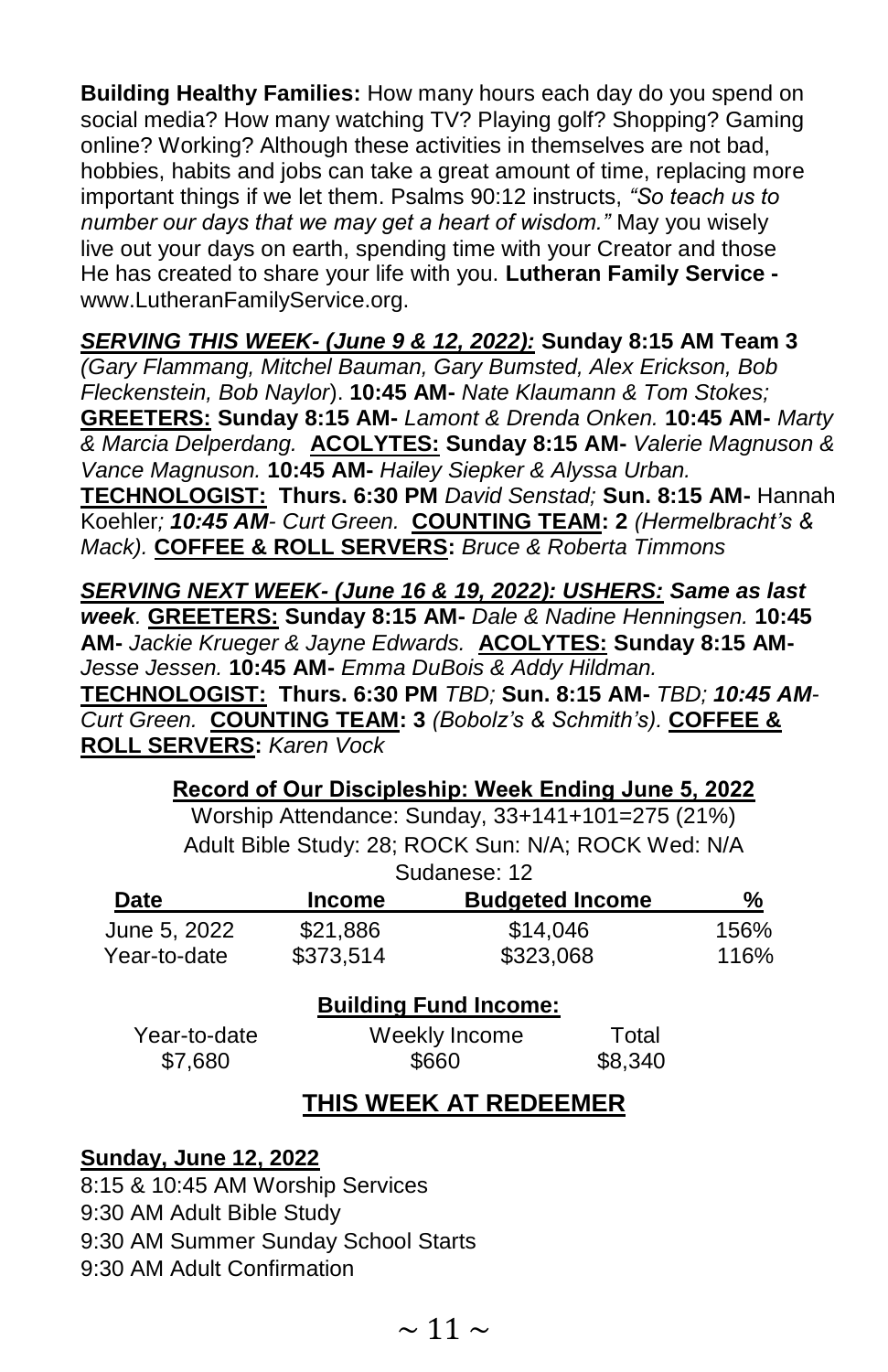**Building Healthy Families:** How many hours each day do you spend on social media? How many watching TV? Playing golf? Shopping? Gaming online? Working? Although these activities in themselves are not bad, hobbies, habits and jobs can take a great amount of time, replacing more important things if we let them. Psalms 90:12 instructs, *"So teach us to number our days that we may get a heart of wisdom."* May you wisely live out your days on earth, spending time with your Creator and those He has created to share your life with you. **Lutheran Family Service**  www.LutheranFamilyService.org.

*SERVING THIS WEEK- (June 9 & 12, 2022):* **Sunday 8:15 AM Team 3** 

*(Gary Flammang, Mitchel Bauman, Gary Bumsted, Alex Erickson, Bob Fleckenstein, Bob Naylor*). **10:45 AM-** *Nate Klaumann & Tom Stokes;* **GREETERS: Sunday 8:15 AM-** *Lamont & Drenda Onken.* **10:45 AM-** *Marty & Marcia Delperdang.* **ACOLYTES: Sunday 8:15 AM-** *Valerie Magnuson & Vance Magnuson.* **10:45 AM-** *Hailey Siepker & Alyssa Urban.*  **TECHNOLOGIST:****Thurs. 6:30 PM** *David Senstad;* **Sun. 8:15 AM-** Hannah Koehler*; 10:45 AM- Curt Green.* **COUNTING TEAM: 2** *(Hermelbracht's & Mack).* **COFFEE & ROLL SERVERS:** *Bruce & Roberta Timmons*

*SERVING NEXT WEEK- (June 16 & 19, 2022): USHERS: Same as last week.* **GREETERS: Sunday 8:15 AM-** *Dale & Nadine Henningsen.* **10:45 AM-** *Jackie Krueger & Jayne Edwards.* **ACOLYTES: Sunday 8:15 AM-***Jesse Jessen.* **10:45 AM-** *Emma DuBois & Addy Hildman.*  **TECHNOLOGIST:****Thurs. 6:30 PM** *TBD;* **Sun. 8:15 AM-** *TBD; 10:45 AM-Curt Green.* **COUNTING TEAM: 3** *(Bobolz's & Schmith's).* **COFFEE & ROLL SERVERS:** *Karen Vock*

> **Record of Our Discipleship: Week Ending June 5, 2022** Worship Attendance: Sunday, 33+141+101=275 (21%)

|              | Adult Bible Study: 28; ROCK Sun: N/A; ROCK Wed: N/A |                              |  |      |
|--------------|-----------------------------------------------------|------------------------------|--|------|
|              |                                                     | Sudanese: 12                 |  |      |
| Date         | <b>Income</b>                                       | <b>Budgeted Income</b>       |  | %    |
| June 5, 2022 | \$21,886                                            | \$14,046                     |  | 156% |
| Year-to-date | \$373,514                                           | \$323,068                    |  | 116% |
|              |                                                     | <b>Building Fund Income:</b> |  |      |
| Year-to-date |                                                     | Weekly Income                |  |      |
| \$7,680      |                                                     | \$660                        |  |      |
|              |                                                     |                              |  |      |

#### **THIS WEEK AT REDEEMER**

#### **Sunday, June 12, 2022**

8:15 & 10:45 AM Worship Services

9:30 AM Adult Bible Study

9:30 AM Summer Sunday School Starts

9:30 AM Adult Confirmation